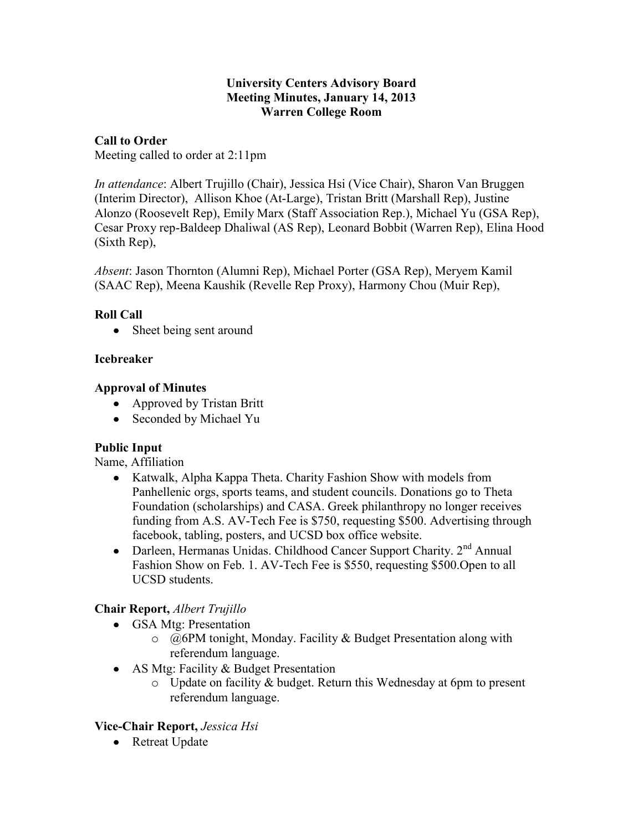### **University Centers Advisory Board Meeting Minutes, January 14, 2013 Warren College Room**

## **Call to Order**

Meeting called to order at 2:11pm

*In attendance*: Albert Trujillo (Chair), Jessica Hsi (Vice Chair), Sharon Van Bruggen (Interim Director), Allison Khoe (At-Large), Tristan Britt (Marshall Rep), Justine Alonzo (Roosevelt Rep), Emily Marx (Staff Association Rep.), Michael Yu (GSA Rep), Cesar Proxy rep-Baldeep Dhaliwal (AS Rep), Leonard Bobbit (Warren Rep), Elina Hood (Sixth Rep),

*Absent*: Jason Thornton (Alumni Rep), Michael Porter (GSA Rep), Meryem Kamil (SAAC Rep), Meena Kaushik (Revelle Rep Proxy), Harmony Chou (Muir Rep),

## **Roll Call**

• Sheet being sent around

## **Icebreaker**

## **Approval of Minutes**

- Approved by Tristan Britt
- Seconded by Michael Yu

### **Public Input**

Name, Affiliation

- Katwalk, Alpha Kappa Theta. Charity Fashion Show with models from Panhellenic orgs, sports teams, and student councils. Donations go to Theta Foundation (scholarships) and CASA. Greek philanthropy no longer receives funding from A.S. AV-Tech Fee is \$750, requesting \$500. Advertising through facebook, tabling, posters, and UCSD box office website.
- Darleen, Hermanas Unidas. Childhood Cancer Support Charity.  $2<sup>nd</sup>$  Annual Fashion Show on Feb. 1. AV-Tech Fee is \$550, requesting \$500.Open to all UCSD students.

## **Chair Report,** *Albert Trujillo*

- GSA Mtg: Presentation
	- $\circ$  @6PM tonight, Monday. Facility & Budget Presentation along with referendum language.
- AS Mtg: Facility & Budget Presentation
	- $\circ$  Update on facility & budget. Return this Wednesday at 6pm to present referendum language.

### **Vice-Chair Report,** *Jessica Hsi*

• Retreat Update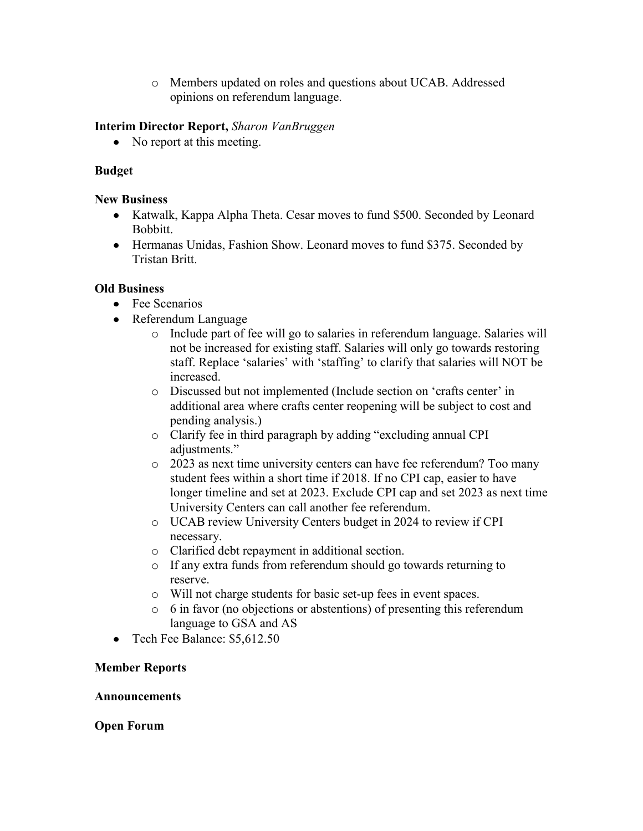o Members updated on roles and questions about UCAB. Addressed opinions on referendum language.

### **Interim Director Report,** *Sharon VanBruggen*

• No report at this meeting.

## **Budget**

### **New Business**

- Katwalk, Kappa Alpha Theta. Cesar moves to fund \$500. Seconded by Leonard Bobbitt.
- Hermanas Unidas, Fashion Show. Leonard moves to fund \$375. Seconded by Tristan Britt.

## **Old Business**

- Fee Scenarios
- Referendum Language
	- o Include part of fee will go to salaries in referendum language. Salaries will not be increased for existing staff. Salaries will only go towards restoring staff. Replace 'salaries' with 'staffing' to clarify that salaries will NOT be increased.
	- o Discussed but not implemented (Include section on 'crafts center' in additional area where crafts center reopening will be subject to cost and pending analysis.)
	- o Clarify fee in third paragraph by adding "excluding annual CPI adjustments."
	- o 2023 as next time university centers can have fee referendum? Too many student fees within a short time if 2018. If no CPI cap, easier to have longer timeline and set at 2023. Exclude CPI cap and set 2023 as next time University Centers can call another fee referendum.
	- o UCAB review University Centers budget in 2024 to review if CPI necessary.
	- o Clarified debt repayment in additional section.
	- o If any extra funds from referendum should go towards returning to reserve.
	- o Will not charge students for basic set-up fees in event spaces.
	- o 6 in favor (no objections or abstentions) of presenting this referendum language to GSA and AS
- Tech Fee Balance: \$5,612.50

### **Member Reports**

### **Announcements**

### **Open Forum**